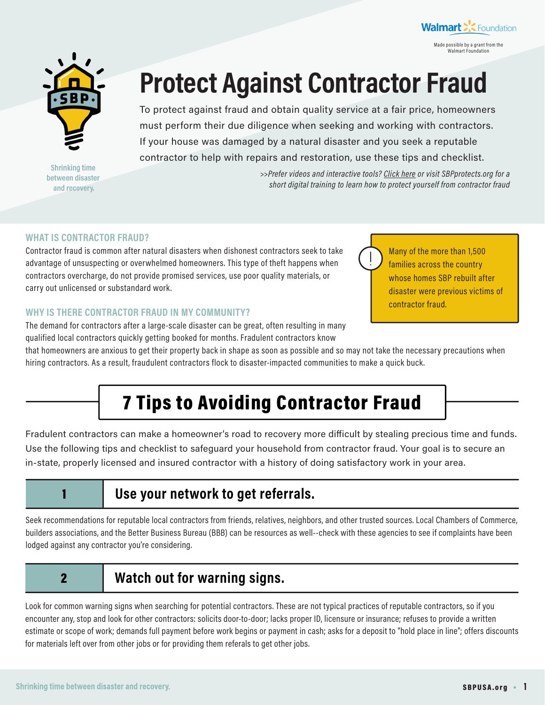



**Shrinking time** between disaster and recovery.

# **Protect Against Contractor Fraud**

To protect against fraud and obtain quality service at a fair price, homeowners must perform their due diligence when seeking and working with contractors. If your house was damaged by a natural disaster and you seek a reputable contractor to help with repairs and restoration, use these tips and checklist.

> *>>Prefer videos and interactive tools? [Click here](http://bit.ly/2V1RkKg) or visit [SBPprotects.org](http://SBPprotects.org) for a short digital training to learn how to protect yourself from contractor fraud*

## **WHAT IS CONTRACTOR FRAUD?**

Contractor fraud is common after natural disasters when dishonest contractors seek to take advantage of unsuspecting or overwhelmed homeowners. This type of theft happens when contractors overcharge, do not provide promised services, use poor quality materials, or carry out unlicensed or substandard work.

## **WHY IS THERE CONTRACTOR FRAUD IN MY COMMUNITY?**

The demand for contractors after a large-scale disaster can be great, often resulting in many qualified local contractors quickly getting booked for months. Fradulent contractors know

Many of the more than 1,500 families across the country whose homes SBP rebuilt after disaster were previous victims of contractor fraud.

that homeowners are anxious to get their property back in shape as soon as possible and so may not take the necessary precautions when hiring contractors. As a result, fraudulent contractors flock to disaster-impacted communities to make a quick buck.

## 7 Tips to Avoiding Contractor Fraud

Fradulent contractors can make a homeowner's road to recovery more difficult by stealing precious time and funds. Use the following tips and checklist to safeguard your household from contractor fraud. Your goal is to secure an in-state, properly licensed and insured contractor with a history of doing satisfactory work in your area.

## 1 **Use your network to get referrals.**

Seek recommendations for reputable local contractors from friends, relatives, neighbors, and other trusted sources. Local Chambers of Commerce, builders associations, and the Better Business Bureau (BBB) can be resources as well--check with these agencies to see if complaints have been lodged against any contractor you're considering.

## 2 **Watch out for warning signs.**

Look for common warning signs when searching for potential contractors. These are not typical practices of reputable contractors, so if you encounter any, stop and look for other contractors: solicits door-to-door; lacks proper ID, licensure or insurance; refuses to provide a written estimate or scope of work; demands full payment before work begins or payment in cash; asks for a deposit to "hold place in line"; offers discounts for materials left over from other jobs or for providing them referals to get other jobs.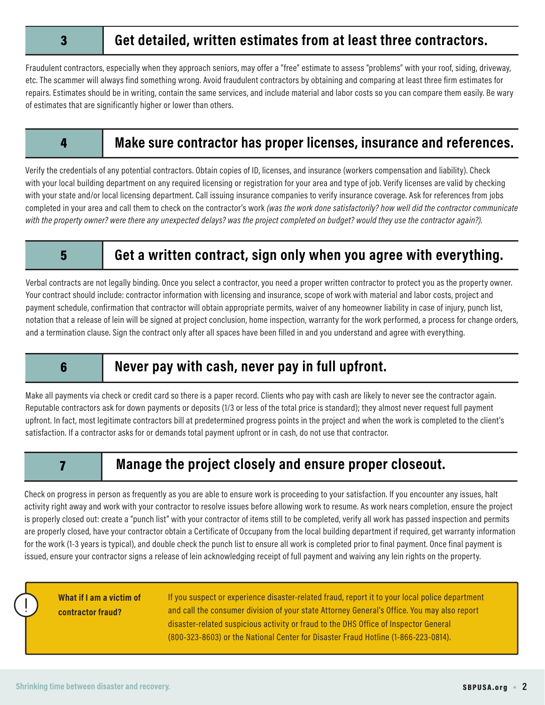## 3 **Get detailed, written estimates from at least three contractors.**

Fraudulent contractors, especially when they approach seniors, may offer a "free" estimate to assess "problems" with your roof, siding, driveway, etc. The scammer will always find something wrong. Avoid fraudulent contractors by obtaining and comparing at least three firm estimates for repairs. Estimates should be in writing, contain the same services, and include material and labor costs so you can compare them easily. Be wary of estimates that are significantly higher or lower than others.

## 4 **Make sure contractor has proper licenses, insurance and references.**

Verify the credentials of any potential contractors. Obtain copies of ID, licenses, and insurance (workers compensation and liability). Check with your local building department on any required licensing or registration for your area and type of job. Verify licenses are valid by checking with your state and/or local licensing department. Call issuing insurance companies to verify insurance coverage. Ask for references from jobs completed in your area and call them to check on the contractor's work *(was the work done satisfactorily? how well did the contractor communicate with the property owner? were there any unexpected delays? was the project completed on budget? would they use the contractor again?).*

## 5 **Get a written contract, sign only when you agree with everything.**

Verbal contracts are not legally binding. Once you select a contractor, you need a proper written contractor to protect you as the property owner. Your contract should include: contractor information with licensing and insurance, scope of work with material and labor costs, project and payment schedule, confirmation that contractor will obtain appropriate permits, waiver of any homeowner liability in case of injury, punch list, notation that a release of lein will be signed at project conclusion, home inspection, warranty for the work performed, a process for change orders, and a termination clause. Sign the contract only after all spaces have been filled in and you understand and agree with everything.

## 6 **Never pay with cash, never pay in full upfront.**

Make all payments via check or credit card so there is a paper record. Clients who pay with cash are likely to never see the contractor again. Reputable contractors ask for down payments or deposits (1/3 or less of the total price is standard); they almost never request full payment upfront. In fact, most legitimate contractors bill at predetermined progress points in the project and when the work is completed to the client's satisfaction. If a contractor asks for or demands total payment upfront or in cash, do not use that contractor.

## 7 **Manage the project closely and ensure proper closeout.**

Check on progress in person as frequently as you are able to ensure work is proceeding to your satisfaction. If you encounter any issues, halt activity right away and work with your contractor to resolve issues before allowing work to resume. As work nears completion, ensure the project is properly closed out: create a "punch list" with your contractor of items still to be completed, verify all work has passed inspection and permits are properly closed, have your contractor obtain a Certificate of Occupany from the local building department if required, get warranty information for the work (1-3 years is typical), and double check the punch list to ensure all work is completed prior to final payment. Once final payment is issued, ensure your contractor signs a release of lein acknowledging receipt of full payment and waiving any lein rights on the property.

**What if I am a victim of contractor fraud?**

If you suspect or experience disaster-related fraud, report it to your local police department and call the consumer division of your state Attorney General's Office. You may also report disaster-related suspicious activity or fraud to the DHS Office of Inspector General (800-323-8603) or the National Center for Disaster Fraud Hotline (1-866-223-0814).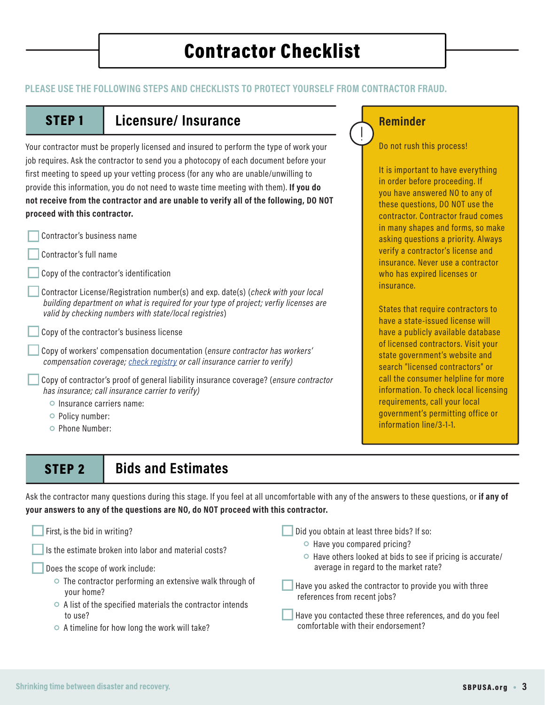## Contractor Checklist

## **PLEASE USE THE FOLLOWING STEPS AND CHECKLISTS TO PROTECT YOURSELF FROM CONTRACTOR FRAUD.**

## STEP 1 **Licensure/ Insurance**

Your contractor must be properly licensed and insured to perform the type of work your job requires. Ask the contractor to send you a photocopy of each document before your first meeting to speed up your vetting process (for any who are unable/unwilling to provide this information, you do not need to waste time meeting with them). **If you do not receive from the contractor and are unable to verify all of the following, DO NOT proceed with this contractor.** 

- Contractor's business name
- Contractor's full name
- Copy of the contractor's identification

 Contractor License/Registration number(s) and exp. date(s) (*check with your local building department on what is required for your type of project; verfiy licenses are valid by checking numbers with state/local registries*)

Copy of the contractor's business license

 Copy of workers' compensation documentation (*ensure contractor has workers' compensation coverage; [check registry](https://www.ewccv.com/cvs/) or call insurance carrier to verify)*

 Copy of contractor's proof of general liability insurance coverage? (*ensure contractor has insurance; call insurance carrier to verify)*

- Insurance carriers name:
- Policy number:
- Phone Number:

## STEP 2 **Bids and Estimates**

Ask the contractor many questions during this stage. If you feel at all uncomfortable with any of the answers to these questions, or **if any of your answers to any of the questions are NO, do NOT proceed with this contractor.**

| First, is the bid in writing?                                                | Did you obtain at least three bids? If so:                                                        |
|------------------------------------------------------------------------------|---------------------------------------------------------------------------------------------------|
| Is the estimate broken into labor and material costs?                        | $\circ$ Have you compared pricing?<br>○ Have others looked at bids to see if pricing is accurate/ |
| Does the scope of work include:                                              | average in regard to the market rate?                                                             |
| $\circ$ The contractor performing an extensive walk through of<br>your home? | Have you asked the contractor to provide you with three<br>references from recent jobs?           |
| $\circ$ A list of the specified materials the contractor intends<br>to use?  | Have you contacted these three references, and do you feel                                        |
| $\circ$ A timeline for how long the work will take?                          | comfortable with their endorsement?                                                               |

## **Reminder**

Do not rush this process!

It is important to have everything in order before proceeding. If you have answered NO to any of these questions, DO NOT use the contractor. Contractor fraud comes in many shapes and forms, so make asking questions a priority. Always verify a contractor's license and insurance. Never use a contractor who has expired licenses or insurance.

States that require contractors to have a state-issued license will have a publicly available database of licensed contractors. Visit your state government's website and search "licensed contractors" or call the consumer helpline for more information. To check local licensing requirements, call your local government's permitting office or information line/3-1-1.